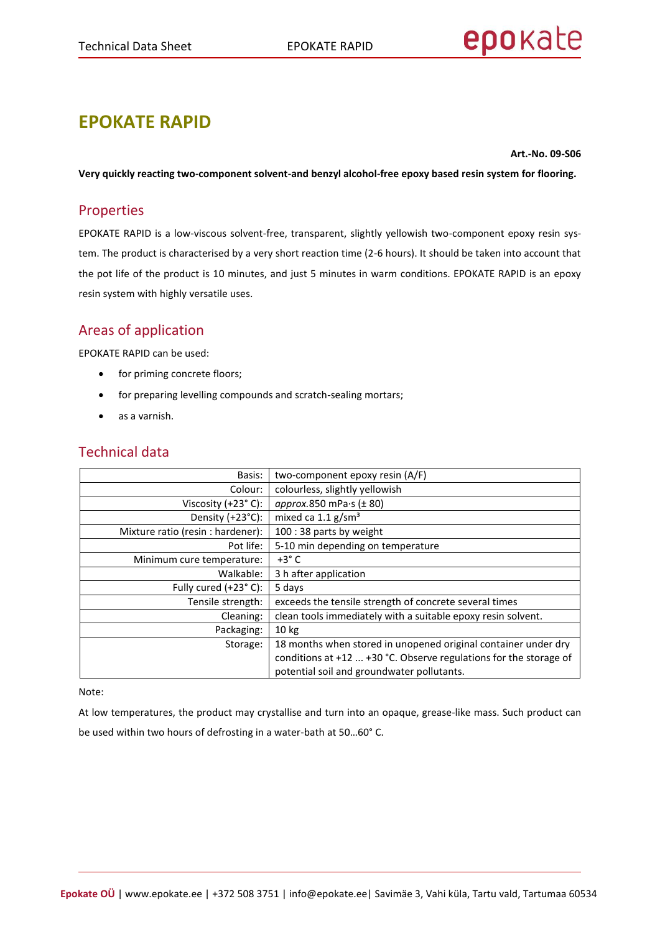# **EPOKATE RAPID**

**Art.-No. 09-S06**

**Very quickly reacting two-component solvent-and benzyl alcohol-free epoxy based resin system for flooring.** 

# Properties

EPOKATE RAPID is a low-viscous solvent-free, transparent, slightly yellowish two-component epoxy resin system. The product is characterised by a very short reaction time (2-6 hours). It should be taken into account that the pot life of the product is 10 minutes, and just 5 minutes in warm conditions. EPOKATE RAPID is an epoxy resin system with highly versatile uses.

# Areas of application

EPOKATE RAPID can be used:

- for priming concrete floors;
- for preparing levelling compounds and scratch-sealing mortars;
- as a varnish.

| Basis:                            | two-component epoxy resin (A/F)                                      |
|-----------------------------------|----------------------------------------------------------------------|
| Colour:                           | colourless, slightly yellowish                                       |
| Viscosity $(+23° C)$ :            | approx.850 mPa $\cdot$ s ( $\pm$ 80)                                 |
| Density (+23°C):                  | mixed ca 1.1 g/sm <sup>3</sup>                                       |
| Mixture ratio (resin : hardener): | 100 : 38 parts by weight                                             |
| Pot life:                         | 5-10 min depending on temperature                                    |
| Minimum cure temperature:         | $+3^{\circ}$ C                                                       |
| Walkable:                         | 3 h after application                                                |
| Fully cured (+23°C):              | 5 days                                                               |
| Tensile strength:                 | exceeds the tensile strength of concrete several times               |
| Cleaning:                         | clean tools immediately with a suitable epoxy resin solvent.         |
| Packaging:                        | 10 <sub>kg</sub>                                                     |
| Storage:                          | 18 months when stored in unopened original container under dry       |
|                                   | conditions at $+12$ $+30$ °C. Observe regulations for the storage of |
|                                   | potential soil and groundwater pollutants.                           |

# Technical data

#### Note:

At low temperatures, the product may crystallise and turn into an opaque, grease-like mass. Such product can be used within two hours of defrosting in a water-bath at 50…60° C.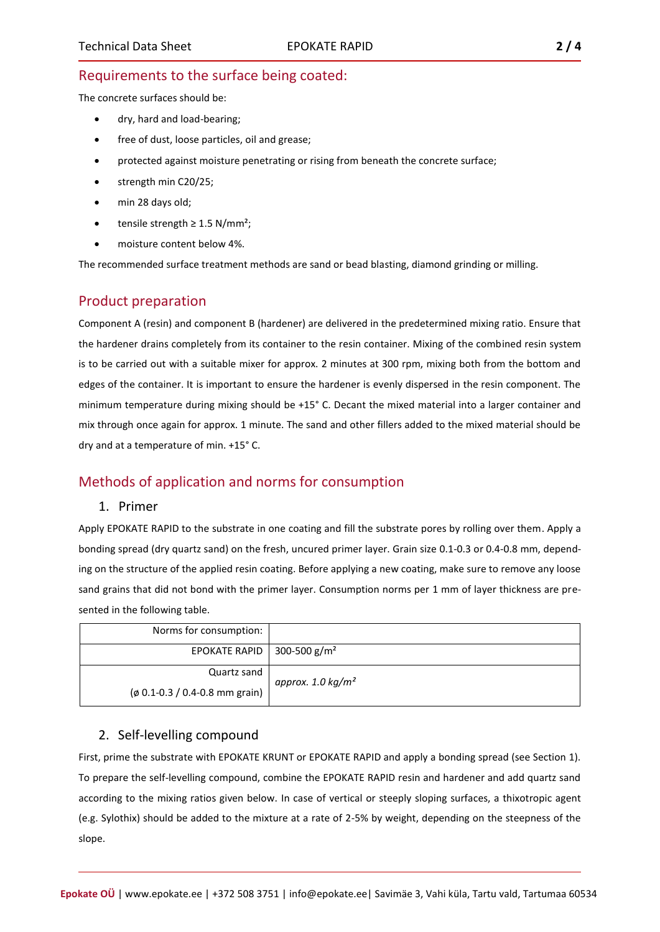## Requirements to the surface being coated:

The concrete surfaces should be:

- dry, hard and load-bearing;
- free of dust, loose particles, oil and grease;
- protected against moisture penetrating or rising from beneath the concrete surface;
- strength min C20/25;
- min 28 days old;
- tensile strength  $\geq 1.5$  N/mm<sup>2</sup>;
- moisture content below 4%.

The recommended surface treatment methods are sand or bead blasting, diamond grinding or milling.

## Product preparation

Component A (resin) and component B (hardener) are delivered in the predetermined mixing ratio. Ensure that the hardener drains completely from its container to the resin container. Mixing of the combined resin system is to be carried out with a suitable mixer for approx. 2 minutes at 300 rpm, mixing both from the bottom and edges of the container. It is important to ensure the hardener is evenly dispersed in the resin component. The minimum temperature during mixing should be +15° C. Decant the mixed material into a larger container and mix through once again for approx. 1 minute. The sand and other fillers added to the mixed material should be dry and at a temperature of min. +15° C.

## Methods of application and norms for consumption

#### 1. Primer

Apply EPOKATE RAPID to the substrate in one coating and fill the substrate pores by rolling over them. Apply a bonding spread (dry quartz sand) on the fresh, uncured primer layer. Grain size 0.1-0.3 or 0.4-0.8 mm, depending on the structure of the applied resin coating. Before applying a new coating, make sure to remove any loose sand grains that did not bond with the primer layer. Consumption norms per 1 mm of layer thickness are presented in the following table.

| Norms for consumption:            |                     |
|-----------------------------------|---------------------|
| EPOKATE RAPID   300-500 $g/m^2$   |                     |
| Quartz sand                       | approx. 1.0 $kg/m2$ |
| $($ ø 0.1-0.3 / 0.4-0.8 mm grain) |                     |

#### 2. Self-levelling compound

First, prime the substrate with EPOKATE KRUNT or EPOKATE RAPID and apply a bonding spread (see Section 1). To prepare the self-levelling compound, combine the EPOKATE RAPID resin and hardener and add quartz sand according to the mixing ratios given below. In case of vertical or steeply sloping surfaces, a thixotropic agent (e.g. Sylothix) should be added to the mixture at a rate of 2-5% by weight, depending on the steepness of the slope.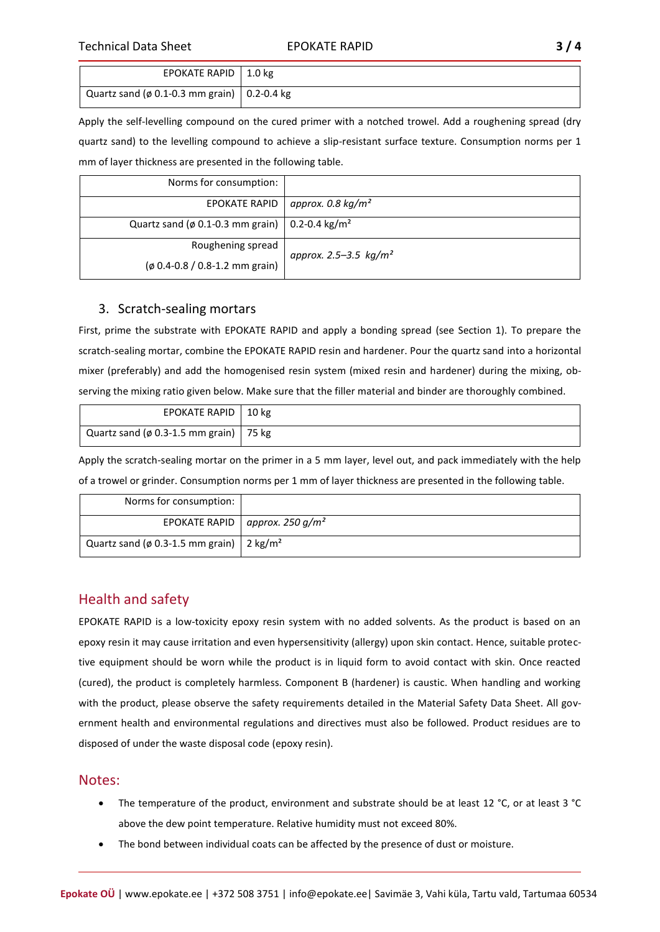| EPOKATE RAPID   1.0 kg                              |  |
|-----------------------------------------------------|--|
| Quartz sand ( $\phi$ 0.1-0.3 mm grain)   0.2-0.4 kg |  |

Apply the self-levelling compound on the cured primer with a notched trowel. Add a roughening spread (dry quartz sand) to the levelling compound to achieve a slip-resistant surface texture. Consumption norms per 1 mm of layer thickness are presented in the following table.

| Norms for consumption:                                       |                          |
|--------------------------------------------------------------|--------------------------|
| <b>EPOKATE RAPID</b>                                         | approx. 0.8 $kg/m2$      |
| Quartz sand (ø 0.1-0.3 mm grain)   0.2-0.4 kg/m <sup>2</sup> |                          |
| Roughening spread                                            | approx. 2.5–3.5 $kg/m^2$ |
| (ø 0.4-0.8 / 0.8-1.2 mm grain)                               |                          |

#### 3. Scratch-sealing mortars

First, prime the substrate with EPOKATE RAPID and apply a bonding spread (see Section 1). To prepare the scratch-sealing mortar, combine the EPOKATE RAPID resin and hardener. Pour the quartz sand into a horizontal mixer (preferably) and add the homogenised resin system (mixed resin and hardener) during the mixing, observing the mixing ratio given below. Make sure that the filler material and binder are thoroughly combined.

| EPOKATE RAPID   10 kg                    |  |
|------------------------------------------|--|
| Quartz sand (ø 0.3-1.5 mm grain)   75 kg |  |

Apply the scratch-sealing mortar on the primer in a 5 mm layer, level out, and pack immediately with the help of a trowel or grinder. Consumption norms per 1 mm of layer thickness are presented in the following table.

| Norms for consumption:                                 |                                     |
|--------------------------------------------------------|-------------------------------------|
|                                                        | EPOKATE RAPID   approx. 250 $g/m^2$ |
| Quartz sand (ø 0.3-1.5 mm grain)   2 kg/m <sup>2</sup> |                                     |

# Health and safety

EPOKATE RAPID is a low-toxicity epoxy resin system with no added solvents. As the product is based on an epoxy resin it may cause irritation and even hypersensitivity (allergy) upon skin contact. Hence, suitable protective equipment should be worn while the product is in liquid form to avoid contact with skin. Once reacted (cured), the product is completely harmless. Component B (hardener) is caustic. When handling and working with the product, please observe the safety requirements detailed in the Material Safety Data Sheet. All government health and environmental regulations and directives must also be followed. Product residues are to disposed of under the waste disposal code (epoxy resin).

## Notes:

- The temperature of the product, environment and substrate should be at least 12 °C, or at least 3 °C above the dew point temperature. Relative humidity must not exceed 80%.
- The bond between individual coats can be affected by the presence of dust or moisture.